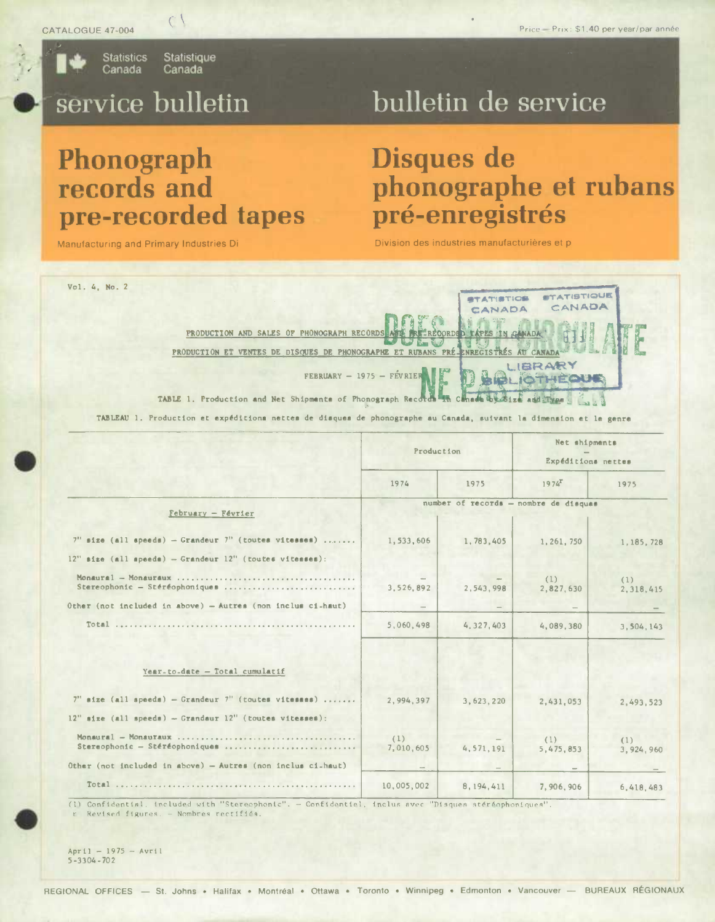

**Statistics Statistique** Canada Canada

 $C$ 

# service bulletin

## bulletin de service

### Phonograph records and pre-recorded tapes

Manufacturing and Primary Industries Di

#### Disques de phonographe et rubans pré-enregistrés

Division des industries manufacturières et p

| Vol. 4, No. 2<br>PRODUCTION AND SALES OF PHONOGRAPH RECORDS AND<br>PRODUCTION ET VENTES DE DISQUES DE PHONOGRAPHE ET RUBANS PRÉ-ENREGISTRÉS AU CANADA<br>$FEBRUARY - 1975 - FÉVRIEF$<br>TABLE 1. Production and Net Shipments of Phonograph Records in Canada by 81ze and Type |                  | <b>ATISTICS</b><br>CANADA<br><b>FREEREQORDED TAPES IN CANADA</b> | <b>STATISTIQUE</b><br>CANADA<br><b>JBRARY</b><br><b>IOTHEOUE</b> |                                     |  |  |
|--------------------------------------------------------------------------------------------------------------------------------------------------------------------------------------------------------------------------------------------------------------------------------|------------------|------------------------------------------------------------------|------------------------------------------------------------------|-------------------------------------|--|--|
| TABLEAU 1. Production et expéditions nettes de disques de phonographe au Canada, suivant la dimension et le genre                                                                                                                                                              | Production       |                                                                  |                                                                  | Net shipments<br>Expéditions nettes |  |  |
|                                                                                                                                                                                                                                                                                | 1974             | 1975                                                             | $1974^x$                                                         | 1975                                |  |  |
| $February - Février$                                                                                                                                                                                                                                                           |                  |                                                                  | number of records - nombre de disques                            |                                     |  |  |
| $7"$ size (all speeds) - Grandeur $7"$ (toutes vitesses)<br>$12"$ size (all speeds) - Grandeur $12"$ (toutes vitesses):                                                                                                                                                        | 1,533,606        | 1,783,405                                                        | 1, 261, 750                                                      | 1,185,728                           |  |  |
| Monaural - Monauraux<br>Stereophonic - Stéréophoniques                                                                                                                                                                                                                         | 3,526,892        | 2,543,998                                                        | (1)<br>2,827,630                                                 | (1)<br>2,318,415                    |  |  |
| Other (not included in above) - Autres (non inclus ci-haut)                                                                                                                                                                                                                    |                  |                                                                  |                                                                  |                                     |  |  |
| Year-to-date - Total cumulatif                                                                                                                                                                                                                                                 | 5,060,498        | 4,327,403                                                        | 4,089,380                                                        | 3,504,143                           |  |  |
| $7"$ size (all speeds) - Grandeur $7"$ (toutes vitasses)<br>$12''$ size (all speeds) - Grandaur $12''$ (toutes vitesses):                                                                                                                                                      | 2,994.397        | 3,623,220                                                        | 2,431,053                                                        | 2,493,523                           |  |  |
| $Monaural - Monautaux $<br>Stereophonic - Stéréophoniques                                                                                                                                                                                                                      | (1)<br>7,010,605 | 4, 571, 191                                                      | (1)<br>5, 475, 853                                               | (1)<br>3,924,960                    |  |  |
| Other (not included in above) - Autres (non inclus ci-haut)                                                                                                                                                                                                                    |                  |                                                                  |                                                                  |                                     |  |  |
|                                                                                                                                                                                                                                                                                | 10,005,002       | 8, 194, 411                                                      | 7,906,906                                                        | 6,418,483                           |  |  |

r Revised figures. - Nombres rectifiés

 $April - 1975 - Avr11$  $5 - 3304 - 702$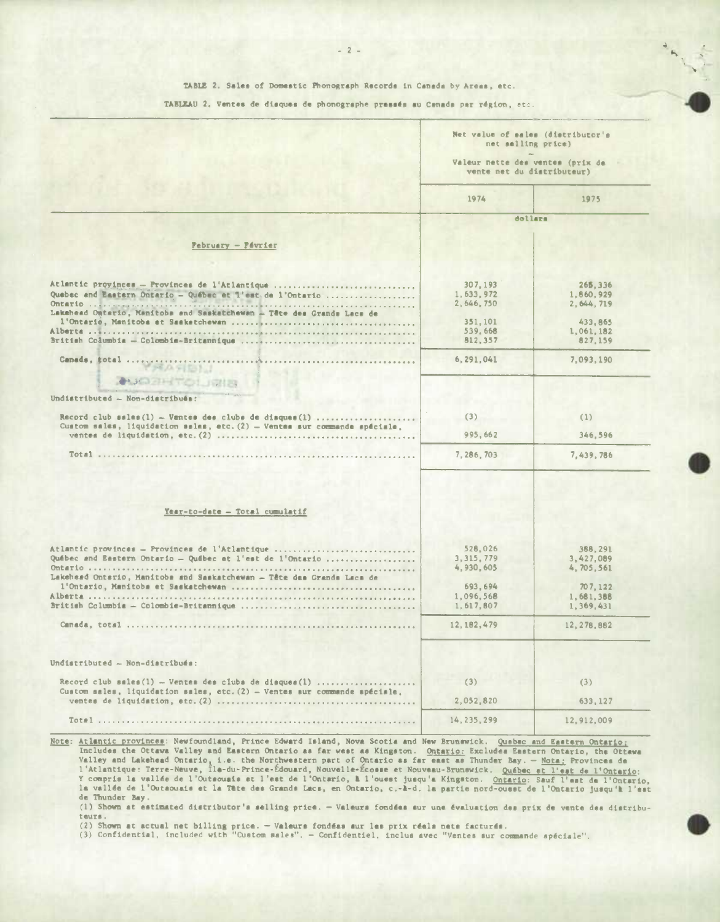| TABLEAU 2. Ventes de disques de phonographe pressés au Canada par région, etc. |  |  |  |  |  |  |  |  |  |  |  |  |
|--------------------------------------------------------------------------------|--|--|--|--|--|--|--|--|--|--|--|--|
|--------------------------------------------------------------------------------|--|--|--|--|--|--|--|--|--|--|--|--|

|                                                                                                                                            | Net value of sales (distributor's<br>net selling price)<br>Valeur nette des ventes (prix de<br>vente net du distributeur) |                                      |  |
|--------------------------------------------------------------------------------------------------------------------------------------------|---------------------------------------------------------------------------------------------------------------------------|--------------------------------------|--|
|                                                                                                                                            | 1974                                                                                                                      | 1975                                 |  |
|                                                                                                                                            |                                                                                                                           | dollars                              |  |
| <b>February - Février</b>                                                                                                                  |                                                                                                                           |                                      |  |
|                                                                                                                                            |                                                                                                                           |                                      |  |
| Atlantic proyinces - Provinces de l'Atlantique<br>Quebec and Eastern Ontario - Québec et l'est. de l'Ontario                               | 307, 193<br>1,633,972<br>2,646,750                                                                                        | 265, 336<br>1.860.929<br>2, 644, 719 |  |
| Lakehead Ontario, Manitoba and Saskatchewan - Tête des Grands Lacs de                                                                      | 351, 101<br>539.668                                                                                                       | 433, 865<br>1,061,182                |  |
|                                                                                                                                            | 812,357                                                                                                                   | 827.159                              |  |
| Canada, total<br>.                                                                                                                         | 6, 291, 041                                                                                                               | 7.093.190                            |  |
| <b>AUGURITORIA</b>                                                                                                                         |                                                                                                                           |                                      |  |
| Undistributed - Non-distribués:                                                                                                            |                                                                                                                           |                                      |  |
| Record club sales $(1)$ - Ventes des clubs de disques $(1)$<br>Custom sales, liquidation sales, etc. $(2)$ - Ventes sur commande apéciale. | (3)                                                                                                                       | (1)                                  |  |
|                                                                                                                                            | 995.662                                                                                                                   | 346.596                              |  |
|                                                                                                                                            | 7,286,703                                                                                                                 | 7.439.786                            |  |
| Year-to-date - Total cumulatif                                                                                                             |                                                                                                                           |                                      |  |
| Atlantic provinces - Provinces de l'Atlantique                                                                                             | 528.026                                                                                                                   | 388,291                              |  |
| Québec and Eastern Ontario - Québec et l'est de l'Ontario<br>Lakehead Ontario, Manitoba and Saskatchewan - Tête das Granda Lacs de         | 3, 315, 779<br>4,930,605                                                                                                  | 3,427,089<br>4,705,561               |  |
|                                                                                                                                            | 693,694<br>1.096.568                                                                                                      | 707, 122                             |  |
|                                                                                                                                            | 1,617,807                                                                                                                 | 1,681,388<br>1.369.431               |  |
|                                                                                                                                            | 12, 182, 479                                                                                                              | 12, 278, 882                         |  |
| Undistributed - Non-distribués:                                                                                                            |                                                                                                                           |                                      |  |
| Record club sales (1) - Ventes des clubs de disques (1)<br>Custom sales, liquidation sales, etc. $(2)$ - Ventes sur commande spéciale.     | (3)                                                                                                                       | (3)                                  |  |
|                                                                                                                                            | 2,052,820                                                                                                                 | 633, 127                             |  |
|                                                                                                                                            | 14, 235, 299                                                                                                              | 12,912,009                           |  |

Note: Atlantic provinces: Newfoundland, Prince Edward Island, Nova Scotis and New Brunswick. Quabec and Eastern Ontario: Ancludes the Ottaws Valley and Eastern Ontario as far west as Kingston. Ontario: Excludes Eastern Ontario, the Ottaws<br>Valley and Lakehead Ontario, 1.e. the Northwestern part of Ontario as far east as Thunder Bay. - Nota: P de Thunder Bay.

(1) Shown at estimated distributor's selling price. - Valeurs fondées sur une évaluation des prix de vente des distributeurs.

(2) Shown at actual net billing price. - Valeurs fondéas sur les prix réels nets facturés.<br>(3) Confidential, included with "Custom sales". - Confidentiel, inclus avec "Ventes sur commande spéciale".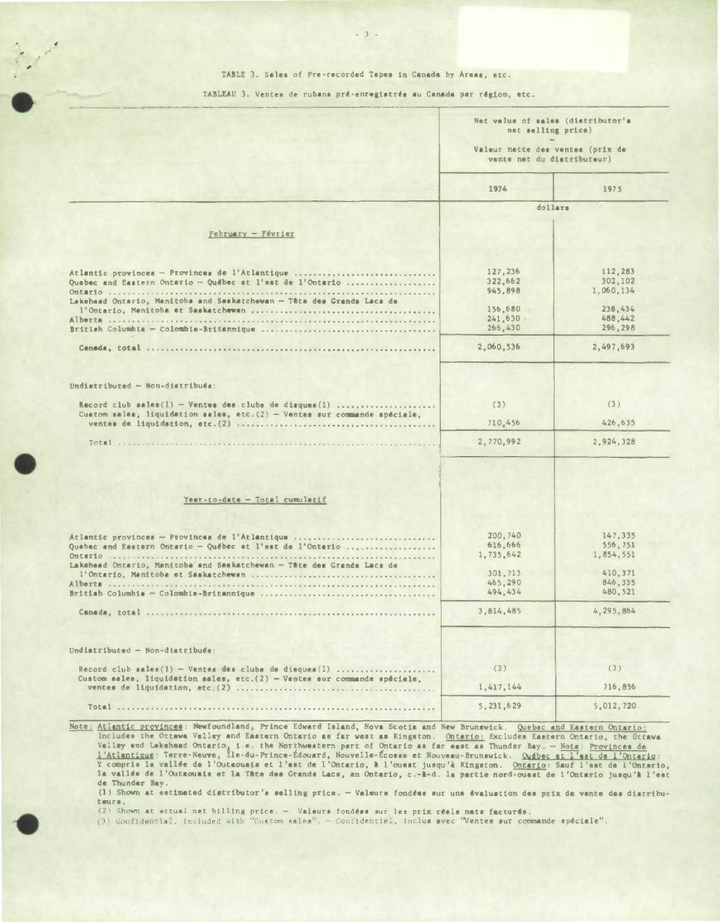#### TABLE 3. Sales of Pre-recorded Tapes in Canada by Areas, etc.

-3-

TABLEAU 3. Ventes de rubans pré-enregistrés au Canada par région, etc.

|                                                                                          | Net value of sales (distributor's<br>net selling price)<br>Valeur nette des ventes (prix de<br>vente net du distributeur) |                                                                                          |
|------------------------------------------------------------------------------------------|---------------------------------------------------------------------------------------------------------------------------|------------------------------------------------------------------------------------------|
|                                                                                          |                                                                                                                           |                                                                                          |
|                                                                                          | 1974                                                                                                                      | 1975                                                                                     |
|                                                                                          | dollars                                                                                                                   |                                                                                          |
|                                                                                          |                                                                                                                           |                                                                                          |
| $February - Février$                                                                     |                                                                                                                           |                                                                                          |
|                                                                                          |                                                                                                                           |                                                                                          |
| Atlantic provinces - Provinces de l'Atlantique                                           | 127,236                                                                                                                   | 112,283                                                                                  |
| Quebec and Eastern Ontario - Québec et l'est de l'Ontario                                | 322,662                                                                                                                   | 302.102                                                                                  |
|                                                                                          | 945, 898                                                                                                                  | 1,060,134                                                                                |
| Lakehaad Ontario, Manitoba and Saakatchewan - Tête des Grands Lacs de                    |                                                                                                                           |                                                                                          |
|                                                                                          | 156,680<br>241.630                                                                                                        | 238,434                                                                                  |
|                                                                                          | 266,430                                                                                                                   | 488,442<br>296,298                                                                       |
|                                                                                          |                                                                                                                           |                                                                                          |
|                                                                                          | 2,060,536                                                                                                                 | 2,497,693                                                                                |
|                                                                                          |                                                                                                                           |                                                                                          |
| Undistributed - Non-distribués:                                                          |                                                                                                                           |                                                                                          |
| Record club sales $(1)$ - Ventes des clubs de disques $(1)$                              | (3)                                                                                                                       | (3)                                                                                      |
| Custom sales, liquidation sales, etc. $(2)$ - Ventes sur commande spéciale.              |                                                                                                                           |                                                                                          |
|                                                                                          | 710,456                                                                                                                   | 426,635                                                                                  |
|                                                                                          | 2,770,992                                                                                                                 | 2,924,328                                                                                |
|                                                                                          |                                                                                                                           |                                                                                          |
| Year-to-date - Total cumulatif                                                           |                                                                                                                           |                                                                                          |
|                                                                                          |                                                                                                                           |                                                                                          |
|                                                                                          |                                                                                                                           |                                                                                          |
| Atlantic provinces - Provinces de l'Atlantique                                           | 200,740<br>616,666                                                                                                        |                                                                                          |
| Quebec and Eastern Ontario - Québec et l'est de l'Ontario                                | 1,735,642                                                                                                                 |                                                                                          |
| Lakehead Ontario, Manitoba and Saskatchewan - Tête des Granda Lacs de                    |                                                                                                                           |                                                                                          |
|                                                                                          | 301,713                                                                                                                   |                                                                                          |
|                                                                                          | 465,290<br>494,434                                                                                                        |                                                                                          |
|                                                                                          | 3,814,485                                                                                                                 |                                                                                          |
|                                                                                          |                                                                                                                           |                                                                                          |
|                                                                                          |                                                                                                                           |                                                                                          |
| Undistributed - Non-distribués:<br>Record club sales(1) - Ventes des clubs de disques(1) | (3)                                                                                                                       | (3)                                                                                      |
| Custom sales, liquidation sales, etc. $(2)$ - Ventes sur commande spéciale,              | 1,417,144                                                                                                                 | 147,335<br>556.751<br>1,854,551<br>410.371<br>846,335<br>480,521<br>4.295,864<br>716,856 |

Atlantic provinces: Newfoundland, Prince Edward Island, Nova Scotia and New Brunswick. Quebec and Eastern Ontario;<br>Includes the Ottawa Valley and Eastern Ontario as far west as Kingston. Ontario; Excludes Eastern Ontario, la vallée de l'Outsousis et la Tête des Grands Lacs, an Ontario, c.-l-d. la partie nord-ouest de l'Ontario jusqu'**l** l'est de Thunder Bay.

(1) Shown at estimated distributor's selling price. - Valeurs fondées sur une évaluation des prix de vente des distributeura.

(2) Shown at actual net billing price. - Valeurs fondées sur les prix réels nets facturés.<br>(3) Confidential, included with "Custom sales". - Confidentiel, inclus avec "Ventes sur co<mark>mmande spéciale".</mark>